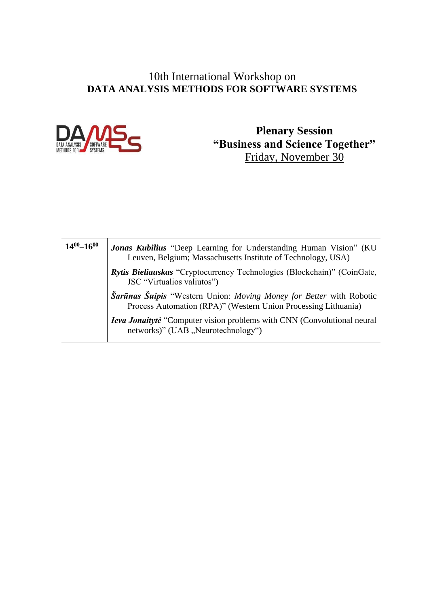#### 10th International Workshop on **DATA ANALYSIS METHODS FOR SOFTWARE SYSTEMS**



**Plenary Session "Business and Science Together"** Friday, November 30

| $14^{00} - 16^{00}$ | <b>Jonas Kubilius</b> "Deep Learning for Understanding Human Vision" (KU)<br>Leuven, Belgium; Massachusetts Institute of Technology, USA) |
|---------------------|-------------------------------------------------------------------------------------------------------------------------------------------|
|                     | Rytis Bieliauskas "Cryptocurrency Technologies (Blockchain)" (CoinGate,<br>JSC "Virtualios valiutos")                                     |
|                     | Sarūnas Šuipis "Western Union: Moving Money for Better with Robotic<br>Process Automation (RPA)" (Western Union Processing Lithuania)     |
|                     | <b>Ieva Jonaitytė</b> "Computer vision problems with CNN (Convolutional neural<br>networks)" (UAB, "Neurotechnology")                     |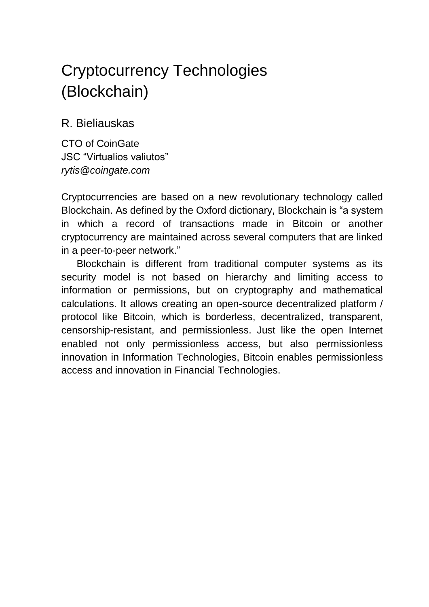## Cryptocurrency Technologies (Blockchain)

R. Bieliauskas

CTO of CoinGate JSC "Virtualios valiutos" *rytis@coingate.com*

Cryptocurrencies are based on a new revolutionary technology called Blockchain. As defined by the Oxford dictionary, Blockchain is "a system in which a record of transactions made in Bitcoin or another cryptocurrency are maintained across several computers that are linked in a peer-to-peer network."

Blockchain is different from traditional computer systems as its security model is not based on hierarchy and limiting access to information or permissions, but on cryptography and mathematical calculations. It allows creating an open-source decentralized platform / protocol like Bitcoin, which is borderless, decentralized, transparent, censorship-resistant, and permissionless. Just like the open Internet enabled not only permissionless access, but also permissionless innovation in Information Technologies, Bitcoin enables permissionless access and innovation in Financial Technologies.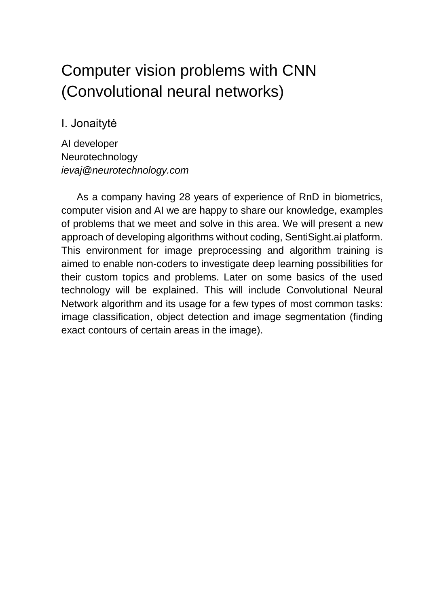### Computer vision problems with CNN (Convolutional neural networks)

### I. Jonaitytė

AI developer Neurotechnology *ievaj@neurotechnology.com*

As a company having 28 years of experience of RnD in biometrics, computer vision and AI we are happy to share our knowledge, examples of problems that we meet and solve in this area. We will present a new approach of developing algorithms without coding, SentiSight.ai platform. This environment for image preprocessing and algorithm training is aimed to enable non-coders to investigate deep learning possibilities for their custom topics and problems. Later on some basics of the used technology will be explained. This will include Convolutional Neural Network algorithm and its usage for a few types of most common tasks: image classification, object detection and image segmentation (finding exact contours of certain areas in the image).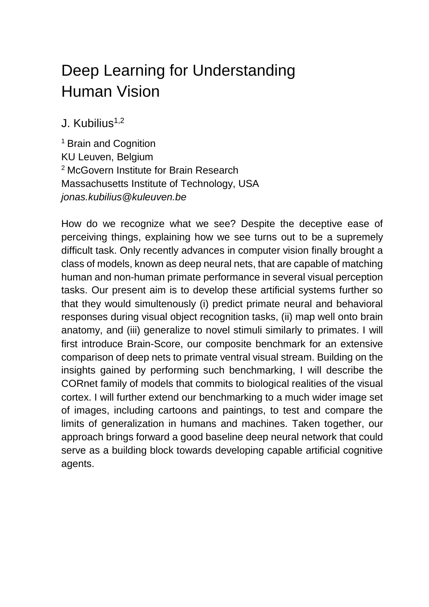## Deep Learning for Understanding Human Vision

 $J$ . Kubilius<sup>1,2</sup>

<sup>1</sup> Brain and Cognition KU Leuven, Belgium <sup>2</sup> McGovern Institute for Brain Research Massachusetts Institute of Technology, USA *jonas.kubilius@kuleuven.be*

How do we recognize what we see? Despite the deceptive ease of perceiving things, explaining how we see turns out to be a supremely difficult task. Only recently advances in computer vision finally brought a class of models, known as deep neural nets, that are capable of matching human and non-human primate performance in several visual perception tasks. Our present aim is to develop these artificial systems further so that they would simultenously (i) predict primate neural and behavioral responses during visual object recognition tasks, (ii) map well onto brain anatomy, and (iii) generalize to novel stimuli similarly to primates. I will first introduce Brain-Score, our composite benchmark for an extensive comparison of deep nets to primate ventral visual stream. Building on the insights gained by performing such benchmarking, I will describe the CORnet family of models that commits to biological realities of the visual cortex. I will further extend our benchmarking to a much wider image set of images, including cartoons and paintings, to test and compare the limits of generalization in humans and machines. Taken together, our approach brings forward a good baseline deep neural network that could serve as a building block towards developing capable artificial cognitive agents.